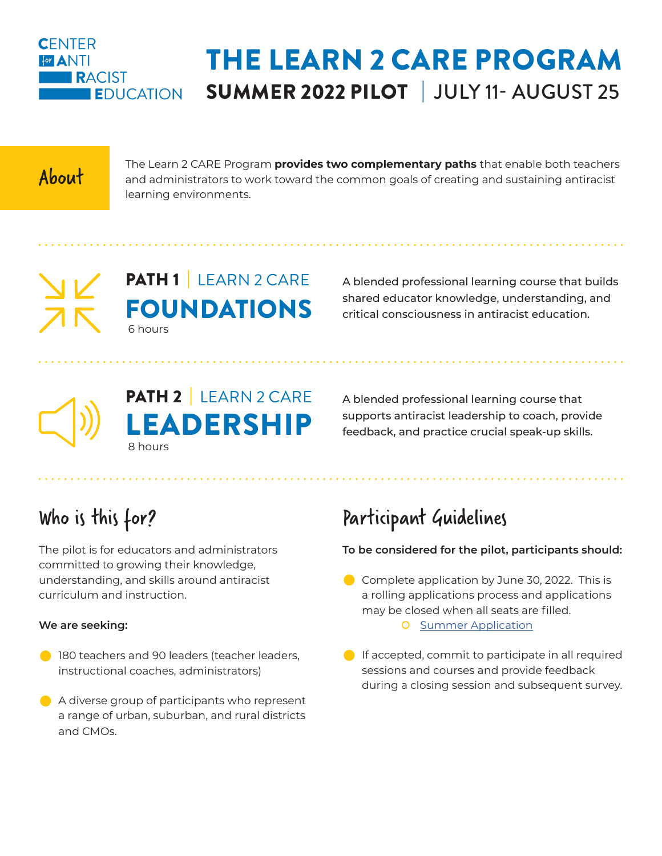

## THE LEARN 2 CARE PROGRAM SUMMER 2022 PILOT | JULY 11- AUGUST 25

The Learn 2 CARE Program **provides two complementary paths** that enable both teachers<br>and administrators to work toward the common goals of creating and sustaining antiracist learning environments.

## PATH 1 LEARN 2 CARE FOUNDATIONS 6 hours

A blended professional learning course that builds shared educator knowledge, understanding, and critical consciousness in antiracist education.

A blended professional learning course that supports antiracist leadership to coach, provide feedback, and practice crucial speak-up skills.

# Who is this for?

The pilot is for educators and administrators committed to growing their knowledge, understanding, and skills around antiracist curriculum and instruction.

8 hours

PATH 2 | LEARN 2 CARE

EADERSHIP

#### **We are seeking:**

- **20 180 teachers and 90 leaders (teacher leaders,** instructional coaches, administrators)
- $\bullet$  A diverse group of participants who represent a range of urban, suburban, and rural districts and CMOs.

## Participant Guidelines

#### **To be considered for the pilot, participants should:**

- $\bullet$  Complete application by June 30, 2022. This is a rolling applications process and applications may be closed when all seats are filled. **O** [Summer Application](https://docs.google.com/forms/d/1t9wPaqcuLd9VOfGdm8DFcqCyNerFyYi1s7S6PmulBAs/edit#:~:text=https%3A//forms.gle/NiHw4cnoyh2pd27i6)
- $\bigcirc$  If accepted, commit to participate in all required sessions and courses and provide feedback during a closing session and subsequent survey.